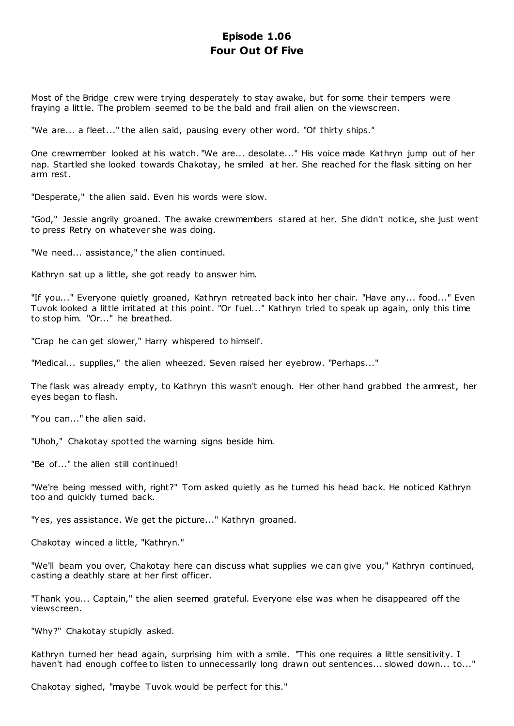# **Episode 1.06 Four Out Of Five**

Most of the Bridge crew were trying desperately to stay awake, but for some their tempers were fraying a little. The problem seemed to be the bald and frail alien on the viewscreen.

"We are... a fleet..." the alien said, pausing every other word. "Of thirty ships."

One crewmember looked at his watch. "We are... desolate..." His voice made Kathryn jump out of her nap. Startled she looked towards Chakotay, he smiled at her. She reached for the flask sitting on her arm rest.

"Desperate," the alien said. Even his words were slow.

"God," Jessie angrily groaned. The awake crewmembers stared at her. She didn't notice, she just went to press Retry on whatever she was doing.

"We need... assistance," the alien continued.

Kathryn sat up a little, she got ready to answer him.

"If you..." Everyone quietly groaned, Kathryn retreated back into her chair. "Have any... food..." Even Tuvok looked a little irritated at this point. "Or fuel..." Kathryn tried to speak up again, only this time to stop him. "Or..." he breathed.

"Crap he can get slower," Harry whispered to himself.

"Medical... supplies," the alien wheezed. Seven raised her eyebrow. "Perhaps..."

The flask was already empty, to Kathryn this wasn't enough. Her other hand grabbed the armrest, her eyes began to flash.

"You can..." the alien said.

"Uhoh," Chakotay spotted the warning signs beside him.

"Be of..." the alien still continued!

"We're being messed with, right?" Tom asked quietly as he turned his head back. He noticed Kathryn too and quickly turned back.

"Yes, yes assistance. We get the picture..." Kathryn groaned.

Chakotay winced a little, "Kathryn."

"We'll beam you over, Chakotay here can discuss what supplies we can give you," Kathryn continued, casting a deathly stare at her first officer.

"Thank you... Captain," the alien seemed grateful. Everyone else was when he disappeared off the viewscreen.

"Why?" Chakotay stupidly asked.

Kathryn turned her head again, surprising him with a smile. "This one requires a little sensitivity. I haven't had enough coffee to listen to unnecessarily long drawn out sentences... slowed down... to..."

Chakotay sighed, "maybe Tuvok would be perfect for this."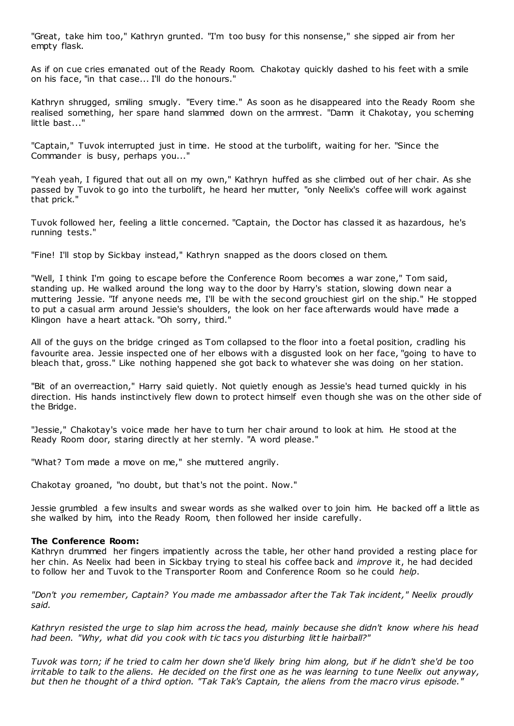"Great, take him too," Kathryn grunted. "I'm too busy for this nonsense," she sipped air from her empty flask.

As if on cue cries emanated out of the Ready Room. Chakotay quickly dashed to his feet with a smile on his face, "in that case... I'll do the honours."

Kathryn shrugged, smiling smugly. "Every time." As soon as he disappeared into the Ready Room she realised something, her spare hand slammed down on the armrest. "Damn it Chakotay, you scheming little bast..."

"Captain," Tuvok interrupted just in time. He stood at the turbolift, waiting for her. "Since the Commander is busy, perhaps you..."

"Yeah yeah, I figured that out all on my own," Kathryn huffed as she climbed out of her chair. As she passed by Tuvok to go into the turbolift, he heard her mutter, "only Neelix's coffee will work against that prick."

Tuvok followed her, feeling a little concerned. "Captain, the Doctor has classed it as hazardous, he's running tests."

"Fine! I'll stop by Sickbay instead," Kathryn snapped as the doors closed on them.

"Well, I think I'm going to escape before the Conference Room becomes a war zone," Tom said, standing up. He walked around the long way to the door by Harry's station, slowing down near a muttering Jessie. "If anyone needs me, I'll be with the second grouchiest girl on the ship." He stopped to put a casual arm around Jessie's shoulders, the look on her face afterwards would have made a Klingon have a heart attack. "Oh sorry, third."

All of the guys on the bridge cringed as Tom collapsed to the floor into a foetal position, cradling his favourite area. Jessie inspected one of her elbows with a disgusted look on her face, "going to have to bleach that, gross." Like nothing happened she got back to whatever she was doing on her station.

"Bit of an overreaction," Harry said quietly. Not quietly enough as Jessie's head turned quickly in his direction. His hands instinctively flew down to protect himself even though she was on the other side of the Bridge.

"Jessie," Chakotay's voice made her have to turn her chair around to look at him. He stood at the Ready Room door, staring directly at her sternly. "A word please."

"What? Tom made a move on me," she muttered angrily.

Chakotay groaned, "no doubt, but that's not the point. Now."

Jessie grumbled a few insults and swear words as she walked over to join him. He backed off a little as she walked by him, into the Ready Room, then followed her inside carefully.

## **The Conference Room:**

Kathryn drummed her fingers impatiently across the table, her other hand provided a resting place for her chin. As Neelix had been in Sickbay trying to steal his coffee back and *improve* it, he had decided to follow her and Tuvok to the Transporter Room and Conference Room so he could *help*.

*"Don't you remember, Captain? You made me ambassador after the Tak Tak incident," Neelix proudly said.*

*Kathryn resisted the urge to slap him across the head, mainly because she didn't know where his head had been. "Why, what did you cook with tic tacs you disturbing little hairball?"*

*Tuvok was torn; if he tried to calm her down she'd likely bring him along, but if he didn't she'd be too irritable to talk to the aliens. He decided on the first one as he was learning to tune Neelix out anyway, but then he thought of a third option. "Tak Tak's Captain, the aliens from the macro virus episode."*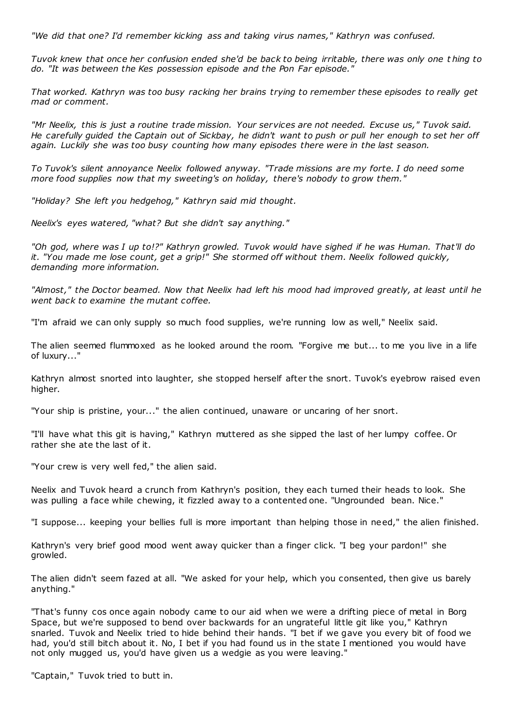*"We did that one? I'd remember kicking ass and taking virus names," Kathryn was confused.*

*Tuvok knew that once her confusion ended she'd be back to being irritable, there was only one t hing to do. "It was between the Kes possession episode and the Pon Far episode."*

*That worked. Kathryn was too busy racking her brains trying to remember these episodes to really get mad or comment.*

*"Mr Neelix, this is just a routine trade mission. Your services are not needed. Excuse us," Tuvok said. He carefully guided the Captain out of Sickbay, he didn't want to push or pull her enough to set her off again. Luckily she was too busy counting how many episodes there were in the last season.*

*To Tuvok's silent annoyance Neelix followed anyway. "Trade missions are my forte. I do need some more food supplies now that my sweeting's on holiday, there's nobody to grow them."*

*"Holiday? She left you hedgehog," Kathryn said mid thought.*

*Neelix's eyes watered, "what? But she didn't say anything."*

*"Oh god, where was I up to!?" Kathryn growled. Tuvok would have sighed if he was Human. That'll do it. "You made me lose count, get a grip!" She stormed off without them. Neelix followed quickly, demanding more information.*

*"Almost," the Doctor beamed. Now that Neelix had left his mood had improved greatly, at least until he went back to examine the mutant coffee.*

"I'm afraid we can only supply so much food supplies, we're running low as well," Neelix said.

The alien seemed flummoxed as he looked around the room. "Forgive me but... to me you live in a life of luxury..."

Kathryn almost snorted into laughter, she stopped herself after the snort. Tuvok's eyebrow raised even higher.

"Your ship is pristine, your..." the alien continued, unaware or uncaring of her snort.

"I'll have what this git is having," Kathryn muttered as she sipped the last of her lumpy coffee. Or rather she ate the last of it.

"Your crew is very well fed," the alien said.

Neelix and Tuvok heard a crunch from Kathryn's position, they each turned their heads to look. She was pulling a face while chewing, it fizzled away to a contented one. "Ungrounded bean. Nice."

"I suppose... keeping your bellies full is more important than helping those in need," the alien finished.

Kathryn's very brief good mood went away quicker than a finger click. "I beg your pardon!" she growled.

The alien didn't seem fazed at all. "We asked for your help, which you consented, then give us barely anything."

"That's funny cos once again nobody came to our aid when we were a drifting piece of metal in Borg Space, but we're supposed to bend over backwards for an ungrateful little git like you," Kathryn snarled. Tuvok and Neelix tried to hide behind their hands. "I bet if we gave you every bit of food we had, you'd still bitch about it. No, I bet if you had found us in the state I mentioned you would have not only mugged us, you'd have given us a wedgie as you were leaving."

"Captain," Tuvok tried to butt in.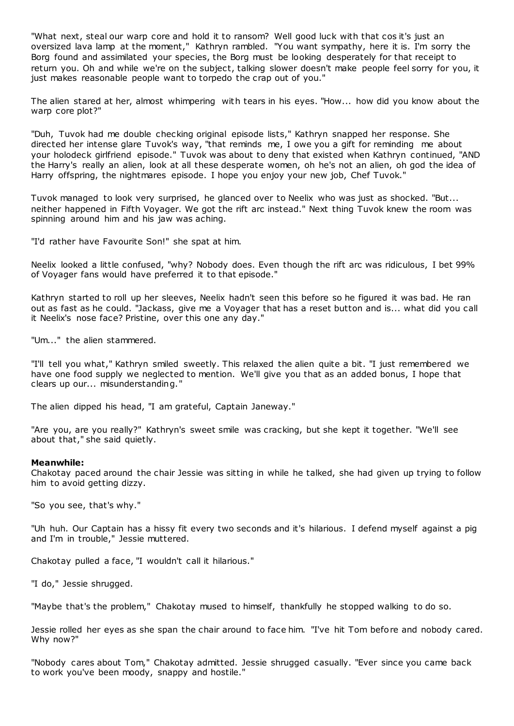"What next, steal our warp core and hold it to ransom? Well good luck with that cos it's just an oversized lava lamp at the moment," Kathryn rambled. "You want sympathy, here it is. I'm sorry the Borg found and assimilated your species, the Borg must be looking desperately for that receipt to return you. Oh and while we're on the subject, talking slower doesn't make people feel sorry for you, it just makes reasonable people want to torpedo the crap out of you."

The alien stared at her, almost whimpering with tears in his eyes. "How... how did you know about the warp core plot?"

"Duh, Tuvok had me double checking original episode lists," Kathryn snapped her response. She directed her intense glare Tuvok's way, "that reminds me, I owe you a gift for reminding me about your holodeck girlfriend episode." Tuvok was about to deny that existed when Kathryn continued, "AND the Harry's really an alien, look at all these desperate women, oh he's not an alien, oh god the idea of Harry offspring, the nightmares episode. I hope you enjoy your new job, Chef Tuvok."

Tuvok managed to look very surprised, he glanced over to Neelix who was just as shocked. "But... neither happened in Fifth Voyager. We got the rift arc instead." Next thing Tuvok knew the room was spinning around him and his jaw was aching.

"I'd rather have Favourite Son!" she spat at him.

Neelix looked a little confused, "why? Nobody does. Even though the rift arc was ridiculous, I bet 99% of Voyager fans would have preferred it to that episode."

Kathryn started to roll up her sleeves, Neelix hadn't seen this before so he figured it was bad. He ran out as fast as he could. "Jackass, give me a Voyager that has a reset button and is... what did you call it Neelix's nose face? Pristine, over this one any day."

"Um..." the alien stammered.

"I'll tell you what," Kathryn smiled sweetly. This relaxed the alien quite a bit. "I just remembered we have one food supply we neglected to mention. We'll give you that as an added bonus, I hope that clears up our... misunderstanding."

The alien dipped his head, "I am grateful, Captain Janeway."

"Are you, are you really?" Kathryn's sweet smile was cracking, but she kept it together. "We'll see about that," she said quietly.

#### **Meanwhile:**

Chakotay paced around the chair Jessie was sitting in while he talked, she had given up trying to follow him to avoid getting dizzy.

"So you see, that's why."

"Uh huh. Our Captain has a hissy fit every two seconds and it's hilarious. I defend myself against a pig and I'm in trouble," Jessie muttered.

Chakotay pulled a face, "I wouldn't call it hilarious."

"I do," Jessie shrugged.

"Maybe that's the problem," Chakotay mused to himself, thankfully he stopped walking to do so.

Jessie rolled her eyes as she span the chair around to face him. "I've hit Tom before and nobody cared. Why now?"

"Nobody cares about Tom," Chakotay admitted. Jessie shrugged casually. "Ever since you came back to work you've been moody, snappy and hostile."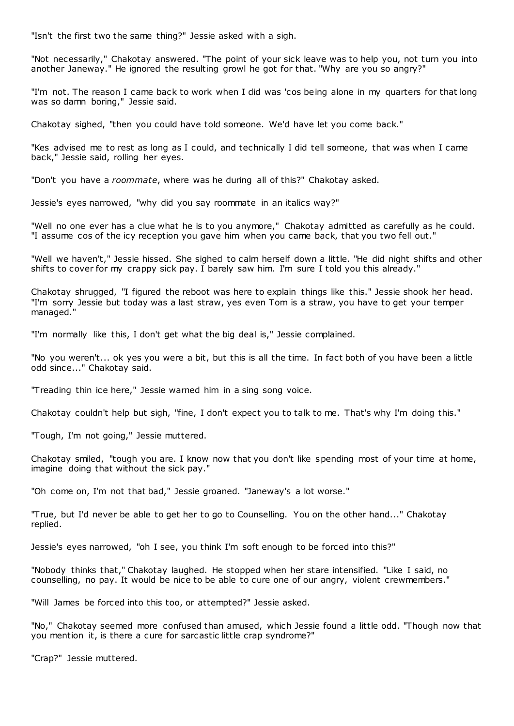"Isn't the first two the same thing?" Jessie asked with a sigh.

"Not necessarily," Chakotay answered. "The point of your sick leave was to help you, not turn you into another Janeway." He ignored the resulting growl he got for that. "Why are you so angry?"

"I'm not. The reason I came back to work when I did was 'cos being alone in my quarters for that long was so damn boring," Jessie said.

Chakotay sighed, "then you could have told someone. We'd have let you come back."

"Kes advised me to rest as long as I could, and technically I did tell someone, that was when I came back," Jessie said, rolling her eyes.

"Don't you have a *roommate*, where was he during all of this?" Chakotay asked.

Jessie's eyes narrowed, "why did you say roommate in an italics way?"

"Well no one ever has a clue what he is to you anymore," Chakotay admitted as carefully as he could. "I assume cos of the icy reception you gave him when you came back, that you two fell out."

"Well we haven't," Jessie hissed. She sighed to calm herself down a little. "He did night shifts and other shifts to cover for my crappy sick pay. I barely saw him. I'm sure I told you this already."

Chakotay shrugged, "I figured the reboot was here to explain things like this." Jessie shook her head. "I'm sorry Jessie but today was a last straw, yes even Tom is a straw, you have to get your temper managed."

"I'm normally like this, I don't get what the big deal is," Jessie complained.

"No you weren't... ok yes you were a bit, but this is all the time. In fact both of you have been a little odd since..." Chakotay said.

"Treading thin ice here," Jessie warned him in a sing song voice.

Chakotay couldn't help but sigh, "fine, I don't expect you to talk to me. That's why I'm doing this."

"Tough, I'm not going," Jessie muttered.

Chakotay smiled, "tough you are. I know now that you don't like spending most of your time at home, imagine doing that without the sick pay."

"Oh come on, I'm not that bad," Jessie groaned. "Janeway's a lot worse."

"True, but I'd never be able to get her to go to Counselling. You on the other hand..." Chakotay replied.

Jessie's eyes narrowed, "oh I see, you think I'm soft enough to be forced into this?"

"Nobody thinks that," Chakotay laughed. He stopped when her stare intensified. "Like I said, no counselling, no pay. It would be nice to be able to cure one of our angry, violent crewmembers."

"Will James be forced into this too, or attempted?" Jessie asked.

"No," Chakotay seemed more confused than amused, which Jessie found a little odd. "Though now that you mention it, is there a cure for sarcastic little crap syndrome?"

"Crap?" Jessie muttered.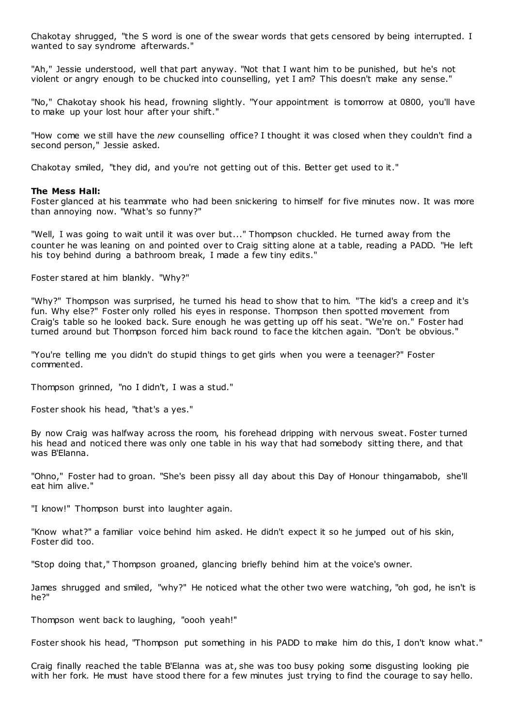Chakotay shrugged, "the S word is one of the swear words that gets censored by being interrupted. I wanted to say syndrome afterwards."

"Ah," Jessie understood, well that part anyway. "Not that I want him to be punished, but he's not violent or angry enough to be chucked into counselling, yet I am? This doesn't make any sense."

"No," Chakotay shook his head, frowning slightly. "Your appointment is tomorrow at 0800, you'll have to make up your lost hour after your shift."

"How come we still have the *new* counselling office? I thought it was closed when they couldn't find a second person," Jessie asked.

Chakotay smiled, "they did, and you're not getting out of this. Better get used to it."

#### **The Mess Hall:**

Foster glanced at his teammate who had been snickering to himself for five minutes now. It was more than annoying now. "What's so funny?"

"Well, I was going to wait until it was over but..." Thompson chuckled. He turned away from the counter he was leaning on and pointed over to Craig sitting alone at a table, reading a PADD. "He left his toy behind during a bathroom break, I made a few tiny edits."

Foster stared at him blankly. "Why?"

"Why?" Thompson was surprised, he turned his head to show that to him. "The kid's a creep and it's fun. Why else?" Foster only rolled his eyes in response. Thompson then spotted movement from Craig's table so he looked back. Sure enough he was getting up off his seat. "We're on." Foster had turned around but Thompson forced him back round to face the kitchen again. "Don't be obvious."

"You're telling me you didn't do stupid things to get girls when you were a teenager?" Foster commented.

Thompson grinned, "no I didn't, I was a stud."

Foster shook his head, "that's a yes."

By now Craig was halfway across the room, his forehead dripping with nervous sweat. Foster turned his head and noticed there was only one table in his way that had somebody sitting there, and that was B'Elanna.

"Ohno," Foster had to groan. "She's been pissy all day about this Day of Honour thingamabob, she'll eat him alive."

"I know!" Thompson burst into laughter again.

"Know what?" a familiar voice behind him asked. He didn't expect it so he jumped out of his skin, Foster did too.

"Stop doing that," Thompson groaned, glancing briefly behind him at the voice's owner.

James shrugged and smiled, "why?" He noticed what the other two were watching, "oh god, he isn't is he?"

Thompson went back to laughing, "oooh yeah!"

Foster shook his head, "Thompson put something in his PADD to make him do this, I don't know what."

Craig finally reached the table B'Elanna was at, she was too busy poking some disgusting looking pie with her fork. He must have stood there for a few minutes just trying to find the courage to say hello.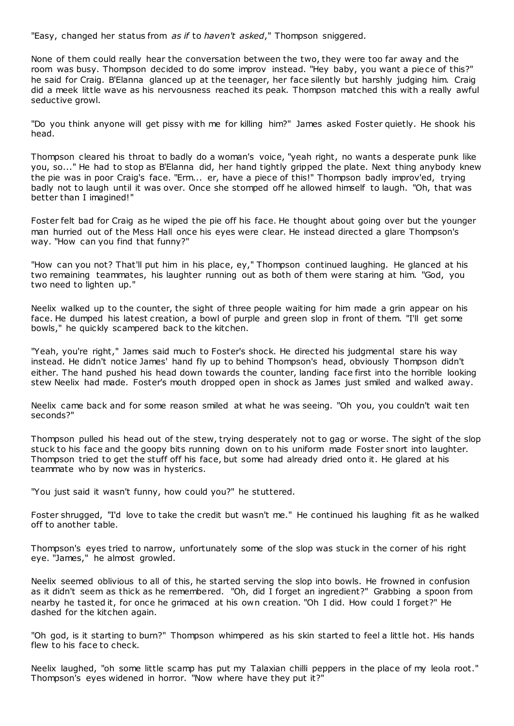"Easy, changed her status from *as if* to *haven't asked*," Thompson sniggered.

None of them could really hear the conversation between the two, they were too far away and the room was busy. Thompson decided to do some improv instead. "Hey baby, you want a piece of this?" he said for Craig. B'Elanna glanced up at the teenager, her face silently but harshly judging him. Craig did a meek little wave as his nervousness reached its peak. Thompson matched this with a really awful seductive growl.

"Do you think anyone will get pissy with me for killing him?" James asked Foster quietly. He shook his head.

Thompson cleared his throat to badly do a woman's voice, "yeah right, no wants a desperate punk like you, so..." He had to stop as B'Elanna did, her hand tightly gripped the plate. Next thing anybody knew the pie was in poor Craig's face. "Erm... er, have a piece of this!" Thompson badly improv'ed, trying badly not to laugh until it was over. Once she stomped off he allowed himself to laugh. "Oh, that was better than I imagined!"

Foster felt bad for Craig as he wiped the pie off his face. He thought about going over but the younger man hurried out of the Mess Hall once his eyes were clear. He instead directed a glare Thompson's way. "How can you find that funny?"

"How can you not? That'll put him in his place, ey," Thompson continued laughing. He glanced at his two remaining teammates, his laughter running out as both of them were staring at him. "God, you two need to lighten up."

Neelix walked up to the counter, the sight of three people waiting for him made a grin appear on his face. He dumped his latest creation, a bowl of purple and green slop in front of them. "I'll get some bowls," he quickly scampered back to the kitchen.

"Yeah, you're right," James said much to Foster's shock. He directed his judgmental stare his way instead. He didn't notice James' hand fly up to behind Thompson's head, obviously Thompson didn't either. The hand pushed his head down towards the counter, landing face first into the horrible looking stew Neelix had made. Foster's mouth dropped open in shock as James just smiled and walked away.

Neelix came back and for some reason smiled at what he was seeing. "Oh you, you couldn't wait ten seconds?"

Thompson pulled his head out of the stew, trying desperately not to gag or worse. The sight of the slop stuck to his face and the goopy bits running down on to his uniform made Foster snort into laughter. Thompson tried to get the stuff off his face, but some had already dried onto it. He glared at his teammate who by now was in hysterics.

"You just said it wasn't funny, how could you?" he stuttered.

Foster shrugged, "I'd love to take the credit but wasn't me." He continued his laughing fit as he walked off to another table.

Thompson's eyes tried to narrow, unfortunately some of the slop was stuck in the corner of his right eye. "James," he almost growled.

Neelix seemed oblivious to all of this, he started serving the slop into bowls. He frowned in confusion as it didn't seem as thick as he remembered. "Oh, did I forget an ingredient?" Grabbing a spoon from nearby he tasted it, for once he grimaced at his own creation. "Oh I did. How could I forget?" He dashed for the kitchen again.

"Oh god, is it starting to burn?" Thompson whimpered as his skin started to feel a little hot. His hands flew to his face to check.

Neelix laughed, "oh some little scamp has put my Talaxian chilli peppers in the place of my leola root." Thompson's eyes widened in horror. "Now where have they put it?"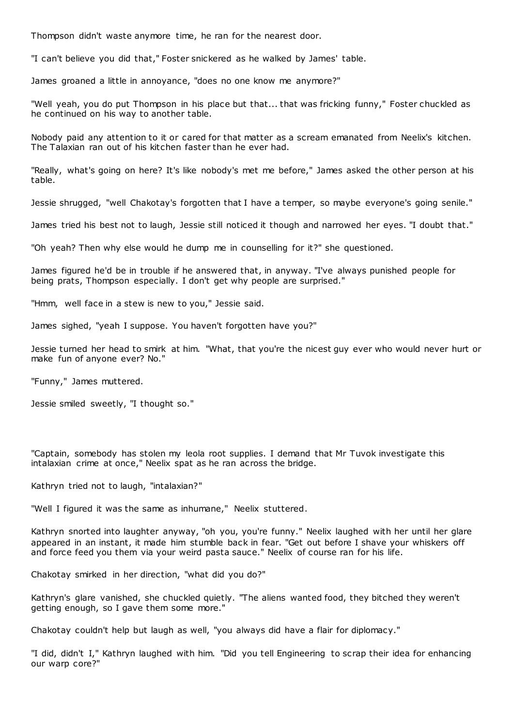Thompson didn't waste anymore time, he ran for the nearest door.

"I can't believe you did that," Foster snickered as he walked by James' table.

James groaned a little in annoyance, "does no one know me anymore?"

"Well yeah, you do put Thompson in his place but that... that was fricking funny," Foster chuckled as he continued on his way to another table.

Nobody paid any attention to it or cared for that matter as a scream emanated from Neelix's kitchen. The Talaxian ran out of his kitchen faster than he ever had.

"Really, what's going on here? It's like nobody's met me before," James asked the other person at his table.

Jessie shrugged, "well Chakotay's forgotten that I have a temper, so maybe everyone's going senile."

James tried his best not to laugh, Jessie still noticed it though and narrowed her eyes. "I doubt that."

"Oh yeah? Then why else would he dump me in counselling for it?" she questioned.

James figured he'd be in trouble if he answered that, in anyway. "I've always punished people for being prats, Thompson especially. I don't get why people are surprised."

"Hmm, well face in a stew is new to you," Jessie said.

James sighed, "yeah I suppose. You haven't forgotten have you?"

Jessie turned her head to smirk at him. "What, that you're the nicest guy ever who would never hurt or make fun of anyone ever? No."

"Funny," James muttered.

Jessie smiled sweetly, "I thought so."

"Captain, somebody has stolen my leola root supplies. I demand that Mr Tuvok investigate this intalaxian crime at once," Neelix spat as he ran across the bridge.

Kathryn tried not to laugh, "intalaxian?"

"Well I figured it was the same as inhumane," Neelix stuttered.

Kathryn snorted into laughter anyway, "oh you, you're funny." Neelix laughed with her until her glare appeared in an instant, it made him stumble back in fear. "Get out before I shave your whiskers off and force feed you them via your weird pasta sauce." Neelix of course ran for his life.

Chakotay smirked in her direction, "what did you do?"

Kathryn's glare vanished, she chuckled quietly. "The aliens wanted food, they bitched they weren't getting enough, so I gave them some more."

Chakotay couldn't help but laugh as well, "you always did have a flair for diplomacy."

"I did, didn't I," Kathryn laughed with him. "Did you tell Engineering to scrap their idea for enhancing our warp core?"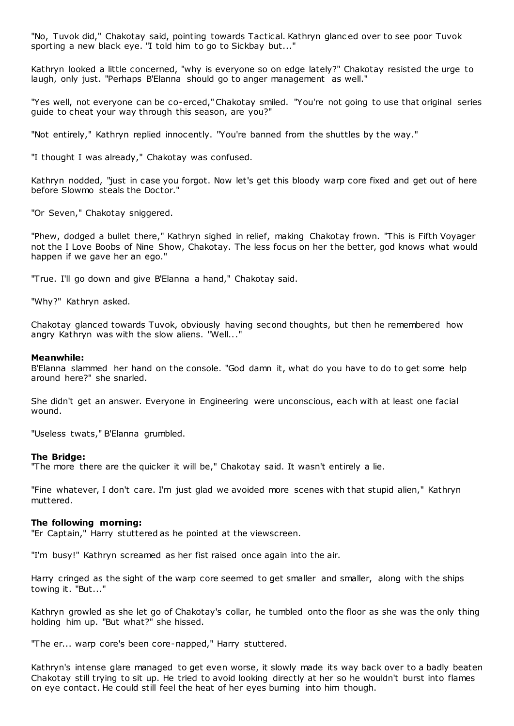"No, Tuvok did," Chakotay said, pointing towards Tactical. Kathryn glanc ed over to see poor Tuvok sporting a new black eye. "I told him to go to Sickbay but..."

Kathryn looked a little concerned, "why is everyone so on edge lately?" Chakotay resisted the urge to laugh, only just. "Perhaps B'Elanna should go to anger management as well."

"Yes well, not everyone can be co-erced," Chakotay smiled. "You're not going to use that original series guide to cheat your way through this season, are you?"

"Not entirely," Kathryn replied innocently. "You're banned from the shuttles by the way."

"I thought I was already," Chakotay was confused.

Kathryn nodded, "just in case you forgot. Now let's get this bloody warp core fixed and get out of here before Slowmo steals the Doctor."

"Or Seven," Chakotay sniggered.

"Phew, dodged a bullet there," Kathryn sighed in relief, making Chakotay frown. "This is Fifth Voyager not the I Love Boobs of Nine Show, Chakotay. The less focus on her the better, god knows what would happen if we gave her an ego."

"True. I'll go down and give B'Elanna a hand," Chakotay said.

"Why?" Kathryn asked.

Chakotay glanced towards Tuvok, obviously having second thoughts, but then he remembered how angry Kathryn was with the slow aliens. "Well..."

#### **Meanwhile:**

B'Elanna slammed her hand on the console. "God damn it, what do you have to do to get some help around here?" she snarled.

She didn't get an answer. Everyone in Engineering were unconscious, each with at least one facial wound.

"Useless twats," B'Elanna grumbled.

#### **The Bridge:**

"The more there are the quicker it will be," Chakotay said. It wasn't entirely a lie.

"Fine whatever, I don't care. I'm just glad we avoided more scenes with that stupid alien," Kathryn muttered.

#### **The following morning:**

"Er Captain," Harry stuttered as he pointed at the viewscreen.

"I'm busy!" Kathryn screamed as her fist raised once again into the air.

Harry cringed as the sight of the warp core seemed to get smaller and smaller, along with the ships towing it. "But..."

Kathryn growled as she let go of Chakotay's collar, he tumbled onto the floor as she was the only thing holding him up. "But what?" she hissed.

"The er... warp core's been core-napped," Harry stuttered.

Kathryn's intense glare managed to get even worse, it slowly made its way back over to a badly beaten Chakotay still trying to sit up. He tried to avoid looking directly at her so he wouldn't burst into flames on eye contact. He could still feel the heat of her eyes burning into him though.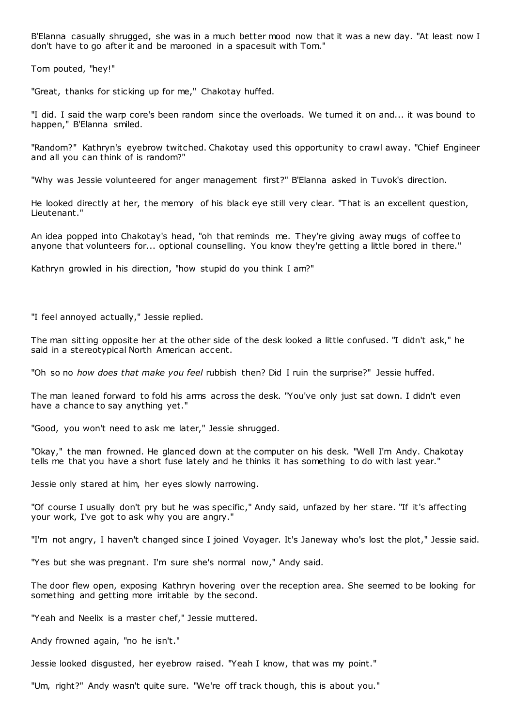B'Elanna casually shrugged, she was in a much better mood now that it was a new day. "At least now I don't have to go after it and be marooned in a spacesuit with Tom."

Tom pouted, "hey!"

"Great, thanks for sticking up for me," Chakotay huffed.

"I did. I said the warp core's been random since the overloads. We turned it on and... it was bound to happen," B'Elanna smiled.

"Random?" Kathryn's eyebrow twitched. Chakotay used this opportunity to crawl away. "Chief Engineer and all you can think of is random?"

"Why was Jessie volunteered for anger management first?" B'Elanna asked in Tuvok's direction.

He looked directly at her, the memory of his black eye still very clear. "That is an excellent question, Lieutenant."

An idea popped into Chakotay's head, "oh that reminds me. They're giving away mugs of coffee to anyone that volunteers for... optional counselling. You know they're getting a little bored in there."

Kathryn growled in his direction, "how stupid do you think I am?"

"I feel annoyed actually," Jessie replied.

The man sitting opposite her at the other side of the desk looked a little confused. "I didn't ask," he said in a stereotypical North American accent.

"Oh so no *how does that make you feel* rubbish then? Did I ruin the surprise?" Jessie huffed.

The man leaned forward to fold his arms across the desk. "You've only just sat down. I didn't even have a chance to say anything yet."

"Good, you won't need to ask me later," Jessie shrugged.

"Okay," the man frowned. He glanced down at the computer on his desk. "Well I'm Andy. Chakotay tells me that you have a short fuse lately and he thinks it has something to do with last year."

Jessie only stared at him, her eyes slowly narrowing.

"Of course I usually don't pry but he was specific ," Andy said, unfazed by her stare. "If it's affecting your work, I've got to ask why you are angry."

"I'm not angry, I haven't changed since I joined Voyager. It's Janeway who's lost the plot," Jessie said.

"Yes but she was pregnant. I'm sure she's normal now," Andy said.

The door flew open, exposing Kathryn hovering over the reception area. She seemed to be looking for something and getting more irritable by the second.

"Yeah and Neelix is a master chef," Jessie muttered.

Andy frowned again, "no he isn't."

Jessie looked disgusted, her eyebrow raised. "Yeah I know, that was my point."

"Um, right?" Andy wasn't quite sure. "We're off track though, this is about you."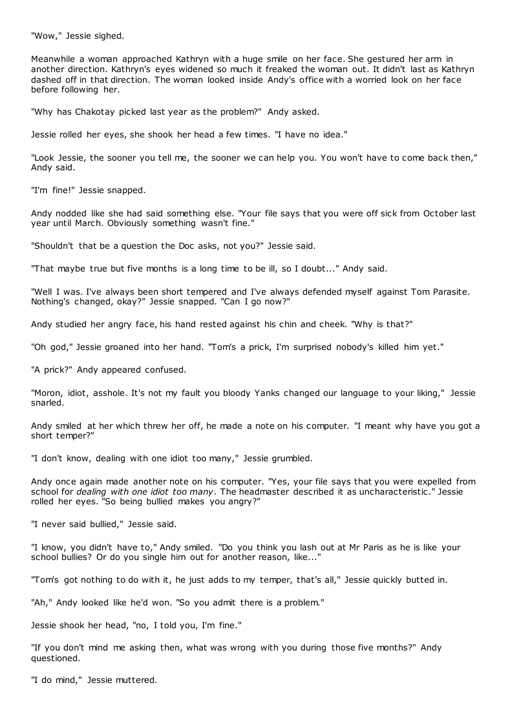"Wow," Jessie sighed.

Meanwhile a woman approached Kathryn with a huge smile on her face. She gestured her arm in another direction. Kathryn's eyes widened so much it freaked the woman out. It didn't last as Kathryn dashed off in that direction. The woman looked inside Andy's office with a worried look on her face before following her.

"Why has Chakotay picked last year as the problem?" Andy asked.

Jessie rolled her eyes, she shook her head a few times. "I have no idea."

"Look Jessie, the sooner you tell me, the sooner we can help you. You won't have to come back then," Andy said.

"I'm fine!" Jessie snapped.

Andy nodded like she had said something else. "Your file says that you were off sick from October last year until March. Obviously something wasn't fine."

"Shouldn't that be a question the Doc asks, not you?" Jessie said.

"That maybe true but five months is a long time to be ill, so I doubt..." Andy said.

"Well I was. I've always been short tempered and I've always defended myself against Tom Parasite. Nothing's changed, okay?" Jessie snapped. "Can I go now?"

Andy studied her angry face, his hand rested against his chin and cheek. "Why is that?"

"Oh god," Jessie groaned into her hand. "Tom's a prick, I'm surprised nobody's killed him yet."

"A prick?" Andy appeared confused.

"Moron, idiot, asshole. It's not my fault you bloody Yanks changed our language to your liking," Jessie snarled.

Andy smiled at her which threw her off, he made a note on his computer. "I meant why have you got a short temper?"

"I don't know, dealing with one idiot too many," Jessie grumbled.

Andy once again made another note on his computer. "Yes, your file says that you were expelled from school for *dealing with one idiot too many*. The headmaster described it as uncharacteristic ." Jessie rolled her eyes. "So being bullied makes you angry?"

"I never said bullied," Jessie said.

"I know, you didn't have to," Andy smiled. "Do you think you lash out at Mr Paris as he is like your school bullies? Or do you single him out for another reason, like..."

"Tom's got nothing to do with it, he just adds to my temper, that's all," Jessie quickly butted in.

"Ah," Andy looked like he'd won. "So you admit there is a problem."

Jessie shook her head, "no, I told you, I'm fine."

"If you don't mind me asking then, what was wrong with you during those five months?" Andy questioned.

"I do mind," Jessie muttered.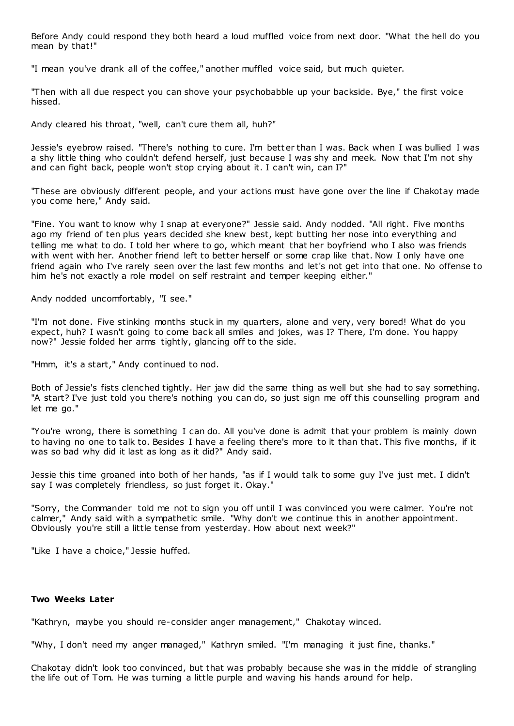Before Andy could respond they both heard a loud muffled voice from next door. "What the hell do you mean by that!"

"I mean you've drank all of the coffee," another muffled voice said, but much quieter.

"Then with all due respect you can shove your psychobabble up your backside. Bye," the first voice hissed.

Andy cleared his throat, "well, can't cure them all, huh?"

Jessie's eyebrow raised. "There's nothing to cure. I'm better than I was. Back when I was bullied I was a shy little thing who couldn't defend herself, just because I was shy and meek. Now that I'm not shy and can fight back, people won't stop crying about it. I can't win, can I?"

"These are obviously different people, and your actions must have gone over the line if Chakotay made you come here," Andy said.

"Fine. You want to know why I snap at everyone?" Jessie said. Andy nodded. "All right. Five months ago my friend of ten plus years decided she knew best, kept butting her nose into everything and telling me what to do. I told her where to go, which meant that her boyfriend who I also was friends with went with her. Another friend left to better herself or some crap like that. Now I only have one friend again who I've rarely seen over the last few months and let's not get into that one. No offense to him he's not exactly a role model on self restraint and temper keeping either."

Andy nodded uncomfortably, "I see."

"I'm not done. Five stinking months stuck in my quarters, alone and very, very bored! What do you expect, huh? I wasn't going to come back all smiles and jokes, was I? There, I'm done. You happy now?" Jessie folded her arms tightly, glancing off to the side.

"Hmm, it's a start," Andy continued to nod.

Both of Jessie's fists clenched tightly. Her jaw did the same thing as well but she had to say something. "A start? I've just told you there's nothing you can do, so just sign me off this counselling program and let me go."

"You're wrong, there is something I can do. All you've done is admit that your problem is mainly down to having no one to talk to. Besides I have a feeling there's more to it than that. This five months, if it was so bad why did it last as long as it did?" Andy said.

Jessie this time groaned into both of her hands, "as if I would talk to some guy I've just met. I didn't say I was completely friendless, so just forget it. Okay."

"Sorry, the Commander told me not to sign you off until I was convinced you were calmer. You're not calmer," Andy said with a sympathetic smile. "Why don't we continue this in another appointment. Obviously you're still a little tense from yesterday. How about next week?"

"Like I have a choice," Jessie huffed.

## **Two Weeks Later**

"Kathryn, maybe you should re-consider anger management," Chakotay winced.

"Why, I don't need my anger managed," Kathryn smiled. "I'm managing it just fine, thanks."

Chakotay didn't look too convinced, but that was probably because she was in the middle of strangling the life out of Tom. He was turning a little purple and waving his hands around for help.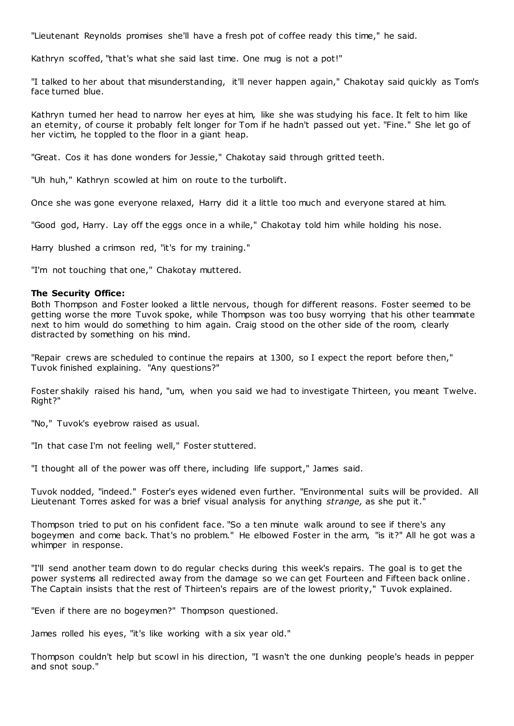"Lieutenant Reynolds promises she'll have a fresh pot of coffee ready this time," he said.

Kathryn scoffed, "that's what she said last time. One mug is not a pot!"

"I talked to her about that misunderstanding, it'll never happen again," Chakotay said quickly as Tom's face turned blue.

Kathryn turned her head to narrow her eyes at him, like she was studying his face. It felt to him like an eternity, of course it probably felt longer for Tom if he hadn't passed out yet. "Fine." She let go of her victim, he toppled to the floor in a giant heap.

"Great. Cos it has done wonders for Jessie," Chakotay said through gritted teeth.

"Uh huh," Kathryn scowled at him on route to the turbolift.

Once she was gone everyone relaxed, Harry did it a little too much and everyone stared at him.

"Good god, Harry. Lay off the eggs once in a while," Chakotay told him while holding his nose.

Harry blushed a crimson red, "it's for my training."

"I'm not touching that one," Chakotay muttered.

#### **The Security Office:**

Both Thompson and Foster looked a little nervous, though for different reasons. Foster seemed to be getting worse the more Tuvok spoke, while Thompson was too busy worrying that his other teammate next to him would do something to him again. Craig stood on the other side of the room, clearly distracted by something on his mind.

"Repair crews are scheduled to continue the repairs at 1300, so I expect the report before then," Tuvok finished explaining. "Any questions?"

Foster shakily raised his hand, "um, when you said we had to investigate Thirteen, you meant Twelve. Right?"

"No," Tuvok's eyebrow raised as usual.

"In that case I'm not feeling well," Foster stuttered.

"I thought all of the power was off there, including life support," James said.

Tuvok nodded, "indeed." Foster's eyes widened even further. "Environmental suits will be provided. All Lieutenant Torres asked for was a brief visual analysis for anything *strange,* as she put it."

Thompson tried to put on his confident face. "So a ten minute walk around to see if there's any bogeymen and come back. That's no problem." He elbowed Foster in the arm, "is it?" All he got was a whimper in response.

"I'll send another team down to do regular checks during this week's repairs. The goal is to get the power systems all redirected away from the damage so we can get Fourteen and Fifteen back online . The Captain insists that the rest of Thirteen's repairs are of the lowest priority," Tuvok explained.

"Even if there are no bogeymen?" Thompson questioned.

James rolled his eyes, "it's like working with a six year old."

Thompson couldn't help but scowl in his direction, "I wasn't the one dunking people's heads in pepper and snot soup."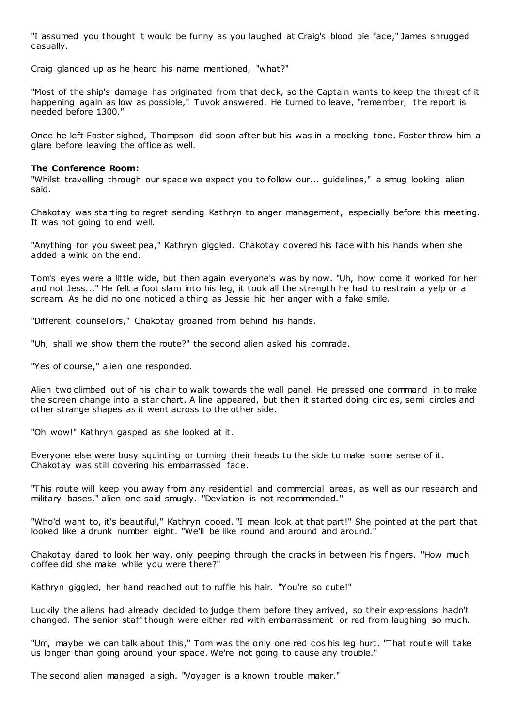"I assumed you thought it would be funny as you laughed at Craig's blood pie face," James shrugged casually.

Craig glanced up as he heard his name mentioned, "what?"

"Most of the ship's damage has originated from that deck, so the Captain wants to keep the threat of it happening again as low as possible," Tuvok answered. He turned to leave, "remember, the report is needed before 1300."

Once he left Foster sighed, Thompson did soon after but his was in a mocking tone. Foster threw him a glare before leaving the office as well.

## **The Conference Room:**

"Whilst travelling through our space we expect you to follow our... guidelines," a smug looking alien said.

Chakotay was starting to regret sending Kathryn to anger management, especially before this meeting. It was not going to end well.

"Anything for you sweet pea," Kathryn giggled. Chakotay covered his face with his hands when she added a wink on the end.

Tom's eyes were a little wide, but then again everyone's was by now. "Uh, how come it worked for her and not Jess..." He felt a foot slam into his leg, it took all the strength he had to restrain a yelp or a scream. As he did no one noticed a thing as Jessie hid her anger with a fake smile.

"Different counsellors," Chakotay groaned from behind his hands.

"Uh, shall we show them the route?" the second alien asked his comrade.

"Yes of course," alien one responded.

Alien two climbed out of his chair to walk towards the wall panel. He pressed one command in to make the screen change into a star chart. A line appeared, but then it started doing circles, semi circles and other strange shapes as it went across to the other side.

"Oh wow!" Kathryn gasped as she looked at it.

Everyone else were busy squinting or turning their heads to the side to make some sense of it. Chakotay was still covering his embarrassed face.

"This route will keep you away from any residential and commercial areas, as well as our research and military bases," alien one said smugly. "Deviation is not recommended."

"Who'd want to, it's beautiful," Kathryn cooed. "I mean look at that part!" She pointed at the part that looked like a drunk number eight. "We'll be like round and around and around."

Chakotay dared to look her way, only peeping through the cracks in between his fingers. "How much coffee did she make while you were there?"

Kathryn giggled, her hand reached out to ruffle his hair. "You're so cute!"

Luckily the aliens had already decided to judge them before they arrived, so their expressions hadn't changed. The senior staff though were either red with embarrassment or red from laughing so much.

"Um, maybe we can talk about this," Tom was the only one red cos his leg hurt. "That route will take us longer than going around your space. We're not going to cause any trouble."

The second alien managed a sigh. "Voyager is a known trouble maker."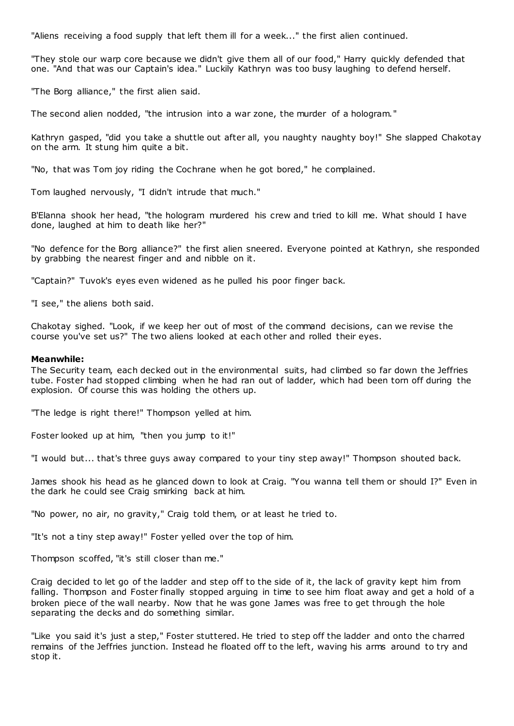"Aliens receiving a food supply that left them ill for a week..." the first alien continued.

"They stole our warp core because we didn't give them all of our food," Harry quickly defended that one. "And that was our Captain's idea." Luckily Kathryn was too busy laughing to defend herself.

"The Borg alliance," the first alien said.

The second alien nodded, "the intrusion into a war zone, the murder of a hologram."

Kathryn gasped, "did you take a shuttle out after all, you naughty naughty boy!" She slapped Chakotay on the arm. It stung him quite a bit.

"No, that was Tom joy riding the Cochrane when he got bored," he complained.

Tom laughed nervously, "I didn't intrude that much."

B'Elanna shook her head, "the hologram murdered his crew and tried to kill me. What should I have done, laughed at him to death like her?"

"No defence for the Borg alliance?" the first alien sneered. Everyone pointed at Kathryn, she responded by grabbing the nearest finger and and nibble on it.

"Captain?" Tuvok's eyes even widened as he pulled his poor finger back.

"I see," the aliens both said.

Chakotay sighed. "Look, if we keep her out of most of the command decisions, can we revise the course you've set us?" The two aliens looked at each other and rolled their eyes.

## **Meanwhile:**

The Security team, each decked out in the environmental suits, had climbed so far down the Jeffries tube. Foster had stopped climbing when he had ran out of ladder, which had been torn off during the explosion. Of course this was holding the others up.

"The ledge is right there!" Thompson yelled at him.

Foster looked up at him, "then you jump to it!"

"I would but... that's three guys away compared to your tiny step away!" Thompson shouted back.

James shook his head as he glanced down to look at Craig. "You wanna tell them or should I?" Even in the dark he could see Craig smirking back at him.

"No power, no air, no gravity," Craig told them, or at least he tried to.

"It's not a tiny step away!" Foster yelled over the top of him.

Thompson scoffed, "it's still closer than me."

Craig decided to let go of the ladder and step off to the side of it, the lack of gravity kept him from falling. Thompson and Foster finally stopped arguing in time to see him float away and get a hold of a broken piece of the wall nearby. Now that he was gone James was free to get through the hole separating the decks and do something similar.

"Like you said it's just a step," Foster stuttered. He tried to step off the ladder and onto the charred remains of the Jeffries junction. Instead he floated off to the left, waving his arms around to try and stop it.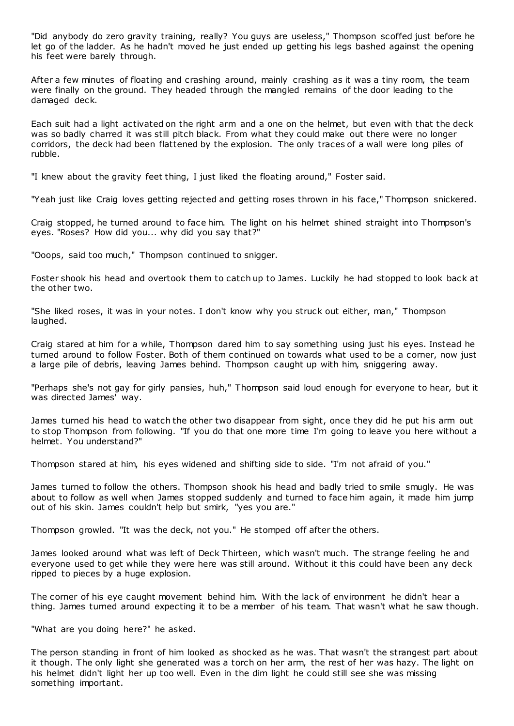"Did anybody do zero gravity training, really? You guys are useless," Thompson scoffed just before he let go of the ladder. As he hadn't moved he just ended up getting his legs bashed against the opening his feet were barely through.

After a few minutes of floating and crashing around, mainly crashing as it was a tiny room, the team were finally on the ground. They headed through the mangled remains of the door leading to the damaged deck.

Each suit had a light activated on the right arm and a one on the helmet, but even with that the deck was so badly charred it was still pitch black. From what they could make out there were no longer corridors, the deck had been flattened by the explosion. The only traces of a wall were long piles of rubble.

"I knew about the gravity feet thing, I just liked the floating around," Foster said.

"Yeah just like Craig loves getting rejected and getting roses thrown in his face," Thompson snickered.

Craig stopped, he turned around to face him. The light on his helmet shined straight into Thompson's eyes. "Roses? How did you... why did you say that?"

"Ooops, said too much," Thompson continued to snigger.

Foster shook his head and overtook them to catch up to James. Luckily he had stopped to look back at the other two.

"She liked roses, it was in your notes. I don't know why you struck out either, man," Thompson laughed.

Craig stared at him for a while, Thompson dared him to say something using just his eyes. Instead he turned around to follow Foster. Both of them continued on towards what used to be a corner, now just a large pile of debris, leaving James behind. Thompson caught up with him, sniggering away.

"Perhaps she's not gay for girly pansies, huh," Thompson said loud enough for everyone to hear, but it was directed James' way.

James turned his head to watch the other two disappear from sight, once they did he put his arm out to stop Thompson from following. "If you do that one more time I'm going to leave you here without a helmet. You understand?"

Thompson stared at him, his eyes widened and shifting side to side. "I'm not afraid of you."

James turned to follow the others. Thompson shook his head and badly tried to smile smugly. He was about to follow as well when James stopped suddenly and turned to face him again, it made him jump out of his skin. James couldn't help but smirk, "yes you are."

Thompson growled. "It was the deck, not you." He stomped off after the others.

James looked around what was left of Deck Thirteen, which wasn't much. The strange feeling he and everyone used to get while they were here was still around. Without it this could have been any deck ripped to pieces by a huge explosion.

The corner of his eye caught movement behind him. With the lack of environment he didn't hear a thing. James turned around expecting it to be a member of his team. That wasn't what he saw though.

"What are you doing here?" he asked.

The person standing in front of him looked as shocked as he was. That wasn't the strangest part about it though. The only light she generated was a torch on her arm, the rest of her was hazy. The light on his helmet didn't light her up too well. Even in the dim light he could still see she was missing something important.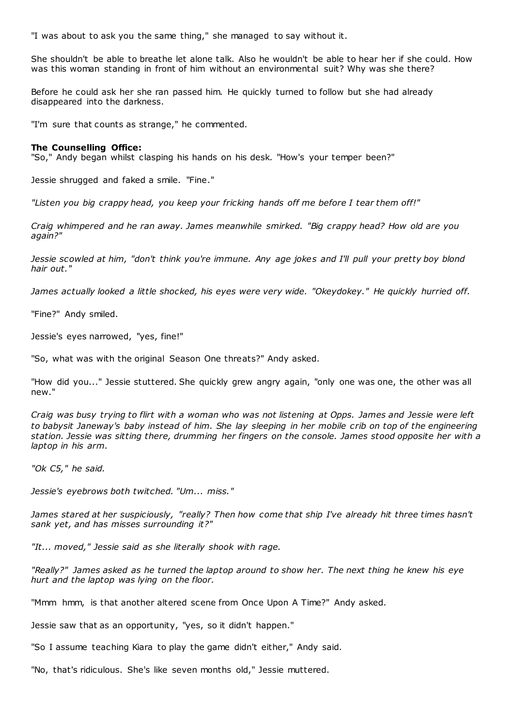"I was about to ask you the same thing," she managed to say without it.

She shouldn't be able to breathe let alone talk. Also he wouldn't be able to hear her if she could. How was this woman standing in front of him without an environmental suit? Why was she there?

Before he could ask her she ran passed him. He quickly turned to follow but she had already disappeared into the darkness.

"I'm sure that counts as strange," he commented.

## **The Counselling Office:**

"So," Andy began whilst clasping his hands on his desk. "How's your temper been?"

Jessie shrugged and faked a smile. "Fine."

*"Listen you big crappy head, you keep your fricking hands off me before I tear them off!"*

*Craig whimpered and he ran away. James meanwhile smirked. "Big crappy head? How old are you again?"*

*Jessie scowled at him, "don't think you're immune. Any age jokes and I'll pull your pretty boy blond hair out."*

*James actually looked a little shocked, his eyes were very wide. "Okeydokey." He quickly hurried off.*

"Fine?" Andy smiled.

Jessie's eyes narrowed, "yes, fine!"

"So, what was with the original Season One threats?" Andy asked.

"How did you..." Jessie stuttered. She quickly grew angry again, "only one was one, the other was all new."

*Craig was busy trying to flirt with a woman who was not listening at Opps. James and Jessie were left to babysit Janeway's baby instead of him. She lay sleeping in her mobile crib on top of the engineering station. Jessie was sitting there, drumming her fingers on the console. James stood opposite her with a laptop in his arm.*

*"Ok C5," he said.*

*Jessie's eyebrows both twitched. "Um... miss."*

*James stared at her suspiciously, "really? Then how come that ship I've already hit three times hasn't sank yet, and has misses surrounding it?"*

*"It... moved," Jessie said as she literally shook with rage.*

*"Really?" James asked as he turned the laptop around to show her. The next thing he knew his eye hurt and the laptop was lying on the floor.*

"Mmm hmm, is that another altered scene from Once Upon A Time?" Andy asked.

Jessie saw that as an opportunity, "yes, so it didn't happen."

"So I assume teaching Kiara to play the game didn't either," Andy said.

"No, that's ridiculous. She's like seven months old," Jessie muttered.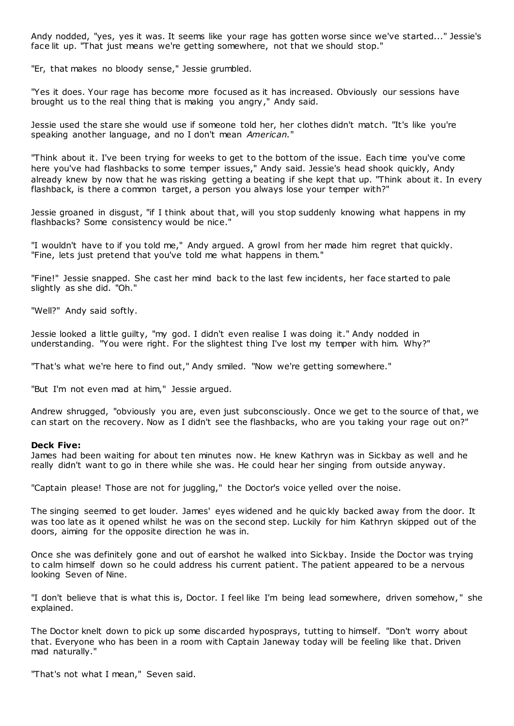Andy nodded, "yes, yes it was. It seems like your rage has gotten worse since we've started..." Jessie's face lit up. "That just means we're getting somewhere, not that we should stop."

"Er, that makes no bloody sense," Jessie grumbled.

"Yes it does. Your rage has become more focused as it has increased. Obviously our sessions have brought us to the real thing that is making you angry," Andy said.

Jessie used the stare she would use if someone told her, her clothes didn't match. "It's like you're speaking another language, and no I don't mean *American.*"

"Think about it. I've been trying for weeks to get to the bottom of the issue. Each time you've come here you've had flashbacks to some temper issues," Andy said. Jessie's head shook quickly, Andy already knew by now that he was risking getting a beating if she kept that up. "Think about it. In every flashback, is there a common target, a person you always lose your temper with?"

Jessie groaned in disgust, "if I think about that, will you stop suddenly knowing what happens in my flashbacks? Some consistency would be nice."

"I wouldn't have to if you told me," Andy argued. A growl from her made him regret that quickly. "Fine, lets just pretend that you've told me what happens in them."

"Fine!" Jessie snapped. She cast her mind back to the last few incidents, her face started to pale slightly as she did. "Oh."

"Well?" Andy said softly.

Jessie looked a little guilty, "my god. I didn't even realise I was doing it." Andy nodded in understanding. "You were right. For the slightest thing I've lost my temper with him. Why?"

"That's what we're here to find out," Andy smiled. "Now we're getting somewhere."

"But I'm not even mad at him," Jessie argued.

Andrew shrugged, "obviously you are, even just subconsciously. Once we get to the source of that, we can start on the recovery. Now as I didn't see the flashbacks, who are you taking your rage out on?"

#### **Deck Five:**

James had been waiting for about ten minutes now. He knew Kathryn was in Sickbay as well and he really didn't want to go in there while she was. He could hear her singing from outside anyway.

"Captain please! Those are not for juggling," the Doctor's voice yelled over the noise.

The singing seemed to get louder. James' eyes widened and he quic kly backed away from the door. It was too late as it opened whilst he was on the second step. Luckily for him Kathryn skipped out of the doors, aiming for the opposite direction he was in.

Once she was definitely gone and out of earshot he walked into Sickbay. Inside the Doctor was trying to calm himself down so he could address his current patient. The patient appeared to be a nervous looking Seven of Nine.

"I don't believe that is what this is, Doctor. I feel like I'm being lead somewhere, driven somehow, " she explained.

The Doctor knelt down to pick up some discarded hyposprays, tutting to himself. "Don't worry about that. Everyone who has been in a room with Captain Janeway today will be feeling like that. Driven mad naturally."

"That's not what I mean," Seven said.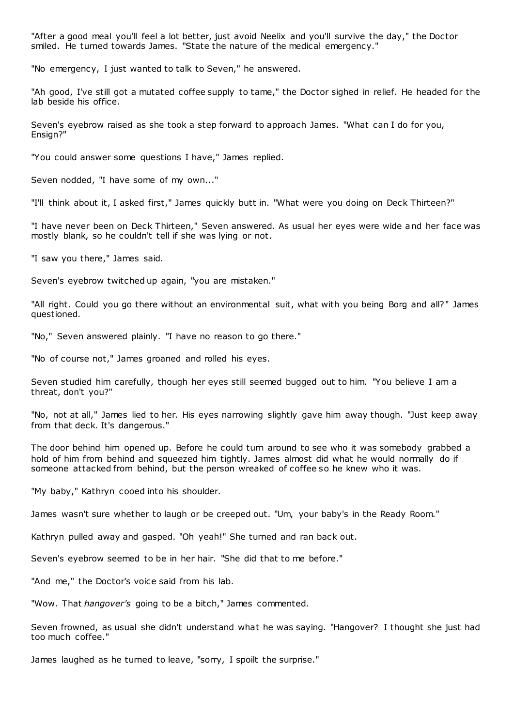"After a good meal you'll feel a lot better, just avoid Neelix and you'll survive the day," the Doctor smiled. He turned towards James. "State the nature of the medical emergency."

"No emergency, I just wanted to talk to Seven," he answered.

"Ah good, I've still got a mutated coffee supply to tame," the Doctor sighed in relief. He headed for the lab beside his office.

Seven's eyebrow raised as she took a step forward to approach James. "What can I do for you, Ensign?"

"You could answer some questions I have," James replied.

Seven nodded, "I have some of my own..."

"I'll think about it, I asked first," James quickly butt in. "What were you doing on Deck Thirteen?"

"I have never been on Deck Thirteen," Seven answered. As usual her eyes were wide and her face was mostly blank, so he couldn't tell if she was lying or not.

"I saw you there," James said.

Seven's eyebrow twitched up again, "you are mistaken."

"All right. Could you go there without an environmental suit, what with you being Borg and all?" James questioned.

"No," Seven answered plainly. "I have no reason to go there."

"No of course not," James groaned and rolled his eyes.

Seven studied him carefully, though her eyes still seemed bugged out to him. "You believe I am a threat, don't you?"

"No, not at all," James lied to her. His eyes narrowing slightly gave him away though. "Just keep away from that deck. It's dangerous."

The door behind him opened up. Before he could turn around to see who it was somebody grabbed a hold of him from behind and squeezed him tightly. James almost did what he would normally do if someone attacked from behind, but the person wreaked of coffee so he knew who it was.

"My baby," Kathryn cooed into his shoulder.

James wasn't sure whether to laugh or be creeped out. "Um, your baby's in the Ready Room."

Kathryn pulled away and gasped. "Oh yeah!" She turned and ran back out.

Seven's eyebrow seemed to be in her hair. "She did that to me before."

"And me," the Doctor's voice said from his lab.

"Wow. That *hangover's* going to be a bitch," James commented.

Seven frowned, as usual she didn't understand what he was saying. "Hangover? I thought she just had too much coffee."

James laughed as he turned to leave, "sorry, I spoilt the surprise."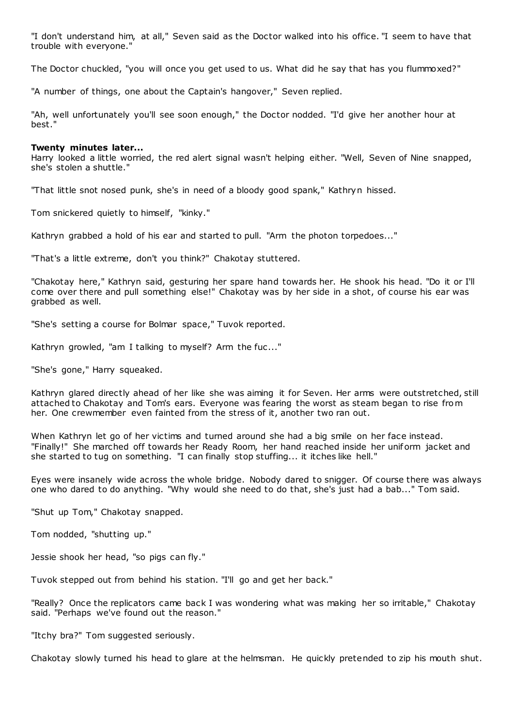"I don't understand him, at all," Seven said as the Doctor walked into his office. "I seem to have that trouble with everyone."

The Doctor chuckled, "you will once you get used to us. What did he say that has you flummoxed?"

"A number of things, one about the Captain's hangover," Seven replied.

"Ah, well unfortunately you'll see soon enough," the Doctor nodded. "I'd give her another hour at best."

#### **Twenty minutes later...**

Harry looked a little worried, the red alert signal wasn't helping either. "Well, Seven of Nine snapped, she's stolen a shuttle."

"That little snot nosed punk, she's in need of a bloody good spank," Kathryn hissed.

Tom snickered quietly to himself, "kinky."

Kathryn grabbed a hold of his ear and started to pull. "Arm the photon torpedoes..."

"That's a little extreme, don't you think?" Chakotay stuttered.

"Chakotay here," Kathryn said, gesturing her spare hand towards her. He shook his head. "Do it or I'll come over there and pull something else!" Chakotay was by her side in a shot, of course his ear was grabbed as well.

"She's setting a course for Bolmar space," Tuvok reported.

Kathryn growled, "am I talking to myself? Arm the fuc ..."

"She's gone," Harry squeaked.

Kathryn glared directly ahead of her like she was aiming it for Seven. Her arms were outstretched, still attached to Chakotay and Tom's ears. Everyone was fearing the worst as steam began to rise from her. One crewmember even fainted from the stress of it, another two ran out.

When Kathryn let go of her victims and turned around she had a big smile on her face instead. "Finally!" She marched off towards her Ready Room, her hand reached inside her uniform jacket and she started to tug on something. "I can finally stop stuffing... it itches like hell."

Eyes were insanely wide across the whole bridge. Nobody dared to snigger. Of course there was always one who dared to do anything. "Why would she need to do that, she's just had a bab..." Tom said.

"Shut up Tom," Chakotay snapped.

Tom nodded, "shutting up."

Jessie shook her head, "so pigs can fly."

Tuvok stepped out from behind his station. "I'll go and get her back."

"Really? Once the replicators came back I was wondering what was making her so irritable," Chakotay said. "Perhaps we've found out the reason."

"Itchy bra?" Tom suggested seriously.

Chakotay slowly turned his head to glare at the helmsman. He quickly pretended to zip his mouth shut.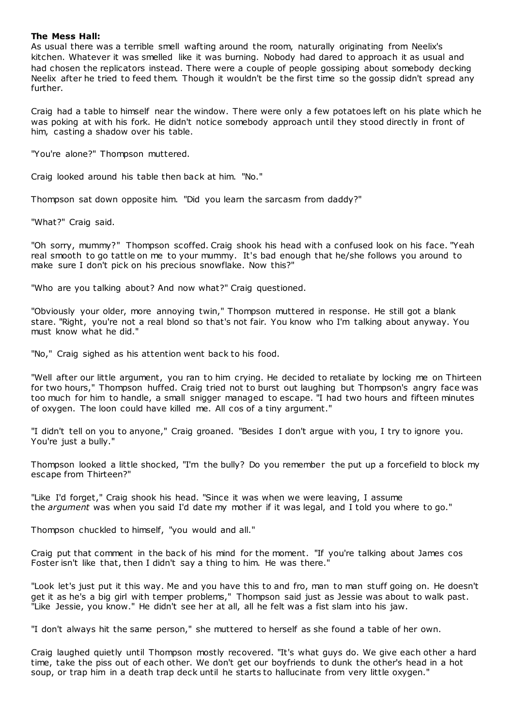## **The Mess Hall:**

As usual there was a terrible smell wafting around the room, naturally originating from Neelix's kitchen. Whatever it was smelled like it was burning. Nobody had dared to approach it as usual and had chosen the replicators instead. There were a couple of people gossiping about somebody decking Neelix after he tried to feed them. Though it wouldn't be the first time so the gossip didn't spread any further.

Craig had a table to himself near the window. There were only a few potatoes left on his plate which he was poking at with his fork. He didn't notice somebody approach until they stood directly in front of him, casting a shadow over his table.

"You're alone?" Thompson muttered.

Craig looked around his table then back at him. "No."

Thompson sat down opposite him. "Did you learn the sarcasm from daddy?"

"What?" Craig said.

"Oh sorry, mummy?" Thompson scoffed. Craig shook his head with a confused look on his face. "Yeah real smooth to go tattle on me to your mummy. It's bad enough that he/she follows you around to make sure I don't pick on his precious snowflake. Now this?"

"Who are you talking about? And now what?" Craig questioned.

"Obviously your older, more annoying twin," Thompson muttered in response. He still got a blank stare. "Right, you're not a real blond so that's not fair. You know who I'm talking about anyway. You must know what he did."

"No," Craig sighed as his attention went back to his food.

"Well after our little argument, you ran to him crying. He decided to retaliate by locking me on Thirteen for two hours," Thompson huffed. Craig tried not to burst out laughing but Thompson's angry face was too much for him to handle, a small snigger managed to escape. "I had two hours and fifteen minutes of oxygen. The loon could have killed me. All cos of a tiny argument."

"I didn't tell on you to anyone," Craig groaned. "Besides I don't argue with you, I try to ignore you. You're just a bully."

Thompson looked a little shocked, "I'm the bully? Do you remember the put up a forcefield to block my escape from Thirteen?"

"Like I'd forget," Craig shook his head. "Since it was when we were leaving, I assume the *argument* was when you said I'd date my mother if it was legal, and I told you where to go."

Thompson chuckled to himself, "you would and all."

Craig put that comment in the back of his mind for the moment. "If you're talking about James cos Foster isn't like that, then I didn't say a thing to him. He was there."

"Look let's just put it this way. Me and you have this to and fro, man to man stuff going on. He doesn't get it as he's a big girl with temper problems," Thompson said just as Jessie was about to walk past. "Like Jessie, you know." He didn't see her at all, all he felt was a fist slam into his jaw.

"I don't always hit the same person," she muttered to herself as she found a table of her own.

Craig laughed quietly until Thompson mostly recovered. "It's what guys do. We give each other a hard time, take the piss out of each other. We don't get our boyfriends to dunk the other's head in a hot soup, or trap him in a death trap deck until he starts to hallucinate from very little oxygen."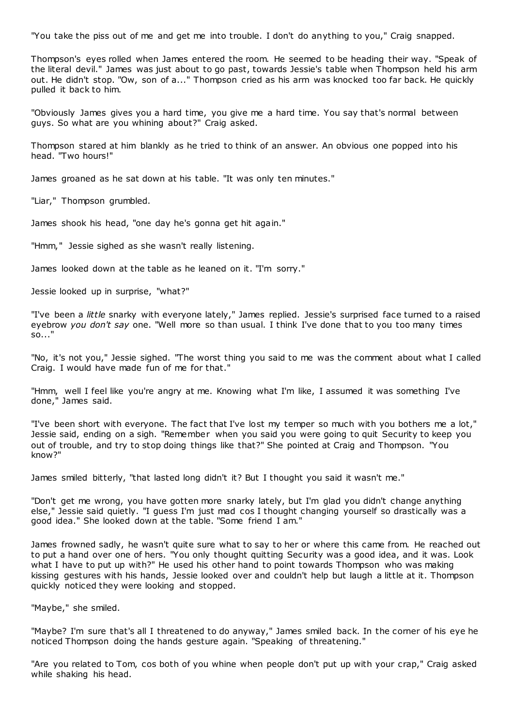"You take the piss out of me and get me into trouble. I don't do anything to you," Craig snapped.

Thompson's eyes rolled when James entered the room. He seemed to be heading their way. "Speak of the literal devil." James was just about to go past, towards Jessie's table when Thompson held his arm out. He didn't stop. "Ow, son of a..." Thompson cried as his arm was knocked too far back. He quickly pulled it back to him.

"Obviously James gives you a hard time, you give me a hard time. You say that's normal between guys. So what are you whining about?" Craig asked.

Thompson stared at him blankly as he tried to think of an answer. An obvious one popped into his head. "Two hours!"

James groaned as he sat down at his table. "It was only ten minutes."

"Liar," Thompson grumbled.

James shook his head, "one day he's gonna get hit again."

"Hmm," Jessie sighed as she wasn't really listening.

James looked down at the table as he leaned on it. "I'm sorry."

Jessie looked up in surprise, "what?"

"I've been a *little* snarky with everyone lately," James replied. Jessie's surprised face turned to a raised eyebrow *you don't say* one. "Well more so than usual. I think I've done that to you too many times so..."

"No, it's not you," Jessie sighed. "The worst thing you said to me was the comment about what I called Craig. I would have made fun of me for that."

"Hmm, well I feel like you're angry at me. Knowing what I'm like, I assumed it was something I've done," James said.

"I've been short with everyone. The fact that I've lost my temper so much with you bothers me a lot," Jessie said, ending on a sigh. "Remember when you said you were going to quit Security to keep you out of trouble, and try to stop doing things like that?" She pointed at Craig and Thompson. "You know?"

James smiled bitterly, "that lasted long didn't it? But I thought you said it wasn't me."

"Don't get me wrong, you have gotten more snarky lately, but I'm glad you didn't change anything else," Jessie said quietly. "I guess I'm just mad cos I thought changing yourself so drastically was a good idea." She looked down at the table. "Some friend I am."

James frowned sadly, he wasn't quite sure what to say to her or where this came from. He reached out to put a hand over one of hers. "You only thought quitting Security was a good idea, and it was. Look what I have to put up with?" He used his other hand to point towards Thompson who was making kissing gestures with his hands, Jessie looked over and couldn't help but laugh a little at it. Thompson quickly noticed they were looking and stopped.

"Maybe," she smiled.

"Maybe? I'm sure that's all I threatened to do anyway," James smiled back. In the corner of his eye he noticed Thompson doing the hands gesture again. "Speaking of threatening."

"Are you related to Tom, cos both of you whine when people don't put up with your crap," Craig asked while shaking his head.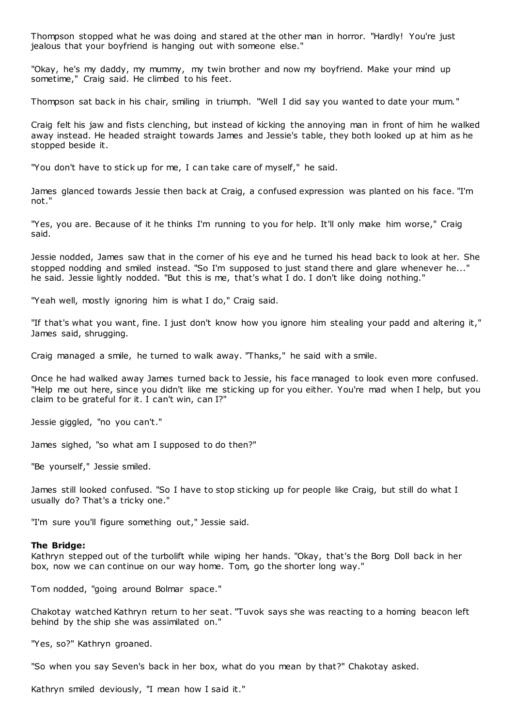Thompson stopped what he was doing and stared at the other man in horror. "Hardly! You're just jealous that your boyfriend is hanging out with someone else."

"Okay, he's my daddy, my mummy, my twin brother and now my boyfriend. Make your mind up sometime," Craig said. He climbed to his feet.

Thompson sat back in his chair, smiling in triumph. "Well I did say you wanted to date your mum."

Craig felt his jaw and fists clenching, but instead of kicking the annoying man in front of him he walked away instead. He headed straight towards James and Jessie's table, they both looked up at him as he stopped beside it.

"You don't have to stick up for me, I can take care of myself," he said.

James glanced towards Jessie then back at Craig, a confused expression was planted on his face. "I'm not."

"Yes, you are. Because of it he thinks I'm running to you for help. It'll only make him worse," Craig said.

Jessie nodded, James saw that in the corner of his eye and he turned his head back to look at her. She stopped nodding and smiled instead. "So I'm supposed to just stand there and glare whenever he..." he said. Jessie lightly nodded. "But this is me, that's what I do. I don't like doing nothing."

"Yeah well, mostly ignoring him is what I do," Craig said.

"If that's what you want, fine. I just don't know how you ignore him stealing your padd and altering it," James said, shrugging.

Craig managed a smile, he turned to walk away. "Thanks," he said with a smile.

Once he had walked away James turned back to Jessie, his face managed to look even more confused. "Help me out here, since you didn't like me sticking up for you either. You're mad when I help, but you claim to be grateful for it. I can't win, can I?"

Jessie giggled, "no you can't."

James sighed, "so what am I supposed to do then?"

"Be yourself," Jessie smiled.

James still looked confused. "So I have to stop sticking up for people like Craig, but still do what I usually do? That's a tricky one."

"I'm sure you'll figure something out," Jessie said.

#### **The Bridge:**

Kathryn stepped out of the turbolift while wiping her hands. "Okay, that's the Borg Doll back in her box, now we can continue on our way home. Tom, go the shorter long way."

Tom nodded, "going around Bolmar space."

Chakotay watched Kathryn return to her seat. "Tuvok says she was reacting to a homing beacon left behind by the ship she was assimilated on."

"Yes, so?" Kathryn groaned.

"So when you say Seven's back in her box, what do you mean by that?" Chakotay asked.

Kathryn smiled deviously, "I mean how I said it."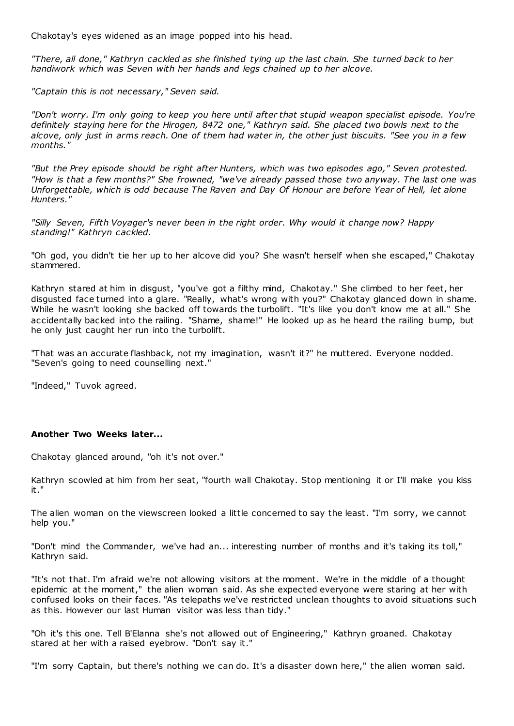Chakotay's eyes widened as an image popped into his head.

*"There, all done," Kathryn cackled as she finished tying up the last chain. She turned back to her handiwork which was Seven with her hands and legs chained up to her alcove.*

*"Captain this is not necessary," Seven said.*

*"Don't worry. I'm only going to keep you here until after that stupid weapon specialist episode. You're definitely staying here for the Hirogen, 8472 one," Kathryn said. She placed two bowls next to the alcove, only just in arms reach. One of them had water in, the other just biscuits. "See you in a few months."*

*"But the Prey episode should be right after Hunters, which was two episodes ago," Seven protested. "How is that a few months?" She frowned, "we've already passed those two anyway. The last one was Unforgettable, which is odd because The Raven and Day Of Honour are before Year of Hell, let alone Hunters."*

*"Silly Seven, Fifth Voyager's never been in the right order. Why would it change now? Happy standing!" Kathryn cackled.*

"Oh god, you didn't tie her up to her alcove did you? She wasn't herself when she escaped," Chakotay stammered.

Kathryn stared at him in disgust, "you've got a filthy mind, Chakotay." She climbed to her feet, her disgusted face turned into a glare. "Really, what's wrong with you?" Chakotay glanced down in shame. While he wasn't looking she backed off towards the turbolift. "It's like you don't know me at all." She accidentally backed into the railing. "Shame, shame!" He looked up as he heard the railing bump, but he only just caught her run into the turbolift.

"That was an accurate flashback, not my imagination, wasn't it?" he muttered. Everyone nodded. "Seven's going to need counselling next."

"Indeed," Tuvok agreed.

## **Another Two Weeks later...**

Chakotay glanced around, "oh it's not over."

Kathryn scowled at him from her seat, "fourth wall Chakotay. Stop mentioning it or I'll make you kiss it."

The alien woman on the viewscreen looked a little concerned to say the least. "I'm sorry, we cannot help you."

"Don't mind the Commander, we've had an... interesting number of months and it's taking its toll," Kathryn said.

"It's not that. I'm afraid we're not allowing visitors at the moment. We're in the middle of a thought epidemic at the moment," the alien woman said. As she expected everyone were staring at her with confused looks on their faces. "As telepaths we've restricted unclean thoughts to avoid situations such as this. However our last Human visitor was less than tidy."

"Oh it's this one. Tell B'Elanna she's not allowed out of Engineering," Kathryn groaned. Chakotay stared at her with a raised eyebrow. "Don't say it."

"I'm sorry Captain, but there's nothing we can do. It's a disaster down here," the alien woman said.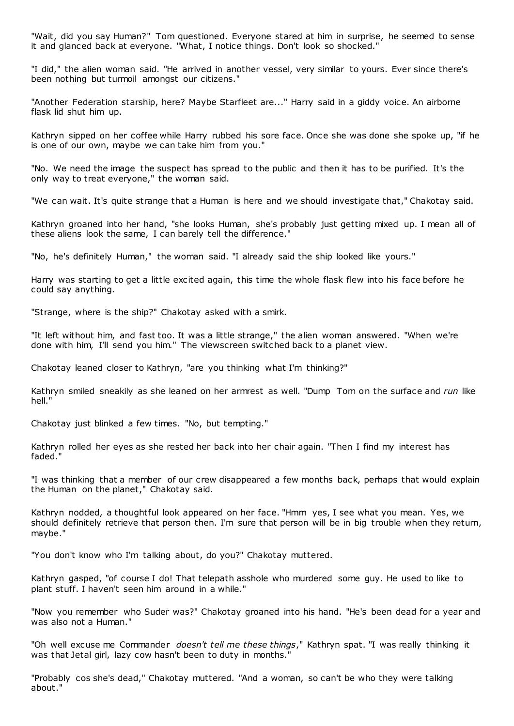"Wait, did you say Human?" Tom questioned. Everyone stared at him in surprise, he seemed to sense it and glanced back at everyone. "What, I notice things. Don't look so shocked."

"I did," the alien woman said. "He arrived in another vessel, very similar to yours. Ever since there's been nothing but turmoil amongst our citizens."

"Another Federation starship, here? Maybe Starfleet are..." Harry said in a giddy voice. An airborne flask lid shut him up.

Kathryn sipped on her coffee while Harry rubbed his sore face. Once she was done she spoke up, "if he is one of our own, maybe we can take him from you."

"No. We need the image the suspect has spread to the public and then it has to be purified. It's the only way to treat everyone," the woman said.

"We can wait. It's quite strange that a Human is here and we should investigate that," Chakotay said.

Kathryn groaned into her hand, "she looks Human, she's probably just getting mixed up. I mean all of these aliens look the same, I can barely tell the difference."

"No, he's definitely Human," the woman said. "I already said the ship looked like yours."

Harry was starting to get a little excited again, this time the whole flask flew into his face before he could say anything.

"Strange, where is the ship?" Chakotay asked with a smirk.

"It left without him, and fast too. It was a little strange," the alien woman answered. "When we're done with him, I'll send you him." The viewscreen switched back to a planet view.

Chakotay leaned closer to Kathryn, "are you thinking what I'm thinking?"

Kathryn smiled sneakily as she leaned on her armrest as well. "Dump Tom on the surface and *run* like hell."

Chakotay just blinked a few times. "No, but tempting."

Kathryn rolled her eyes as she rested her back into her chair again. "Then I find my interest has faded."

"I was thinking that a member of our crew disappeared a few months back, perhaps that would explain the Human on the planet," Chakotay said.

Kathryn nodded, a thoughtful look appeared on her face. "Hmm yes, I see what you mean. Yes, we should definitely retrieve that person then. I'm sure that person will be in big trouble when they return, maybe."

"You don't know who I'm talking about, do you?" Chakotay muttered.

Kathryn gasped, "of course I do! That telepath asshole who murdered some guy. He used to like to plant stuff. I haven't seen him around in a while."

"Now you remember who Suder was?" Chakotay groaned into his hand. "He's been dead for a year and was also not a Human."

"Oh well excuse me Commander *doesn't tell me these things*," Kathryn spat. "I was really thinking it was that Jetal girl, lazy cow hasn't been to duty in months."

"Probably cos she's dead," Chakotay muttered. "And a woman, so can't be who they were talking about."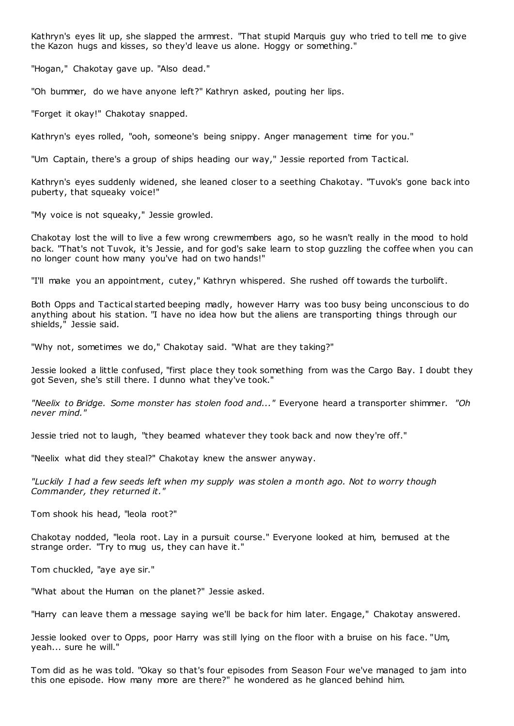Kathryn's eyes lit up, she slapped the armrest. "That stupid Marquis guy who tried to tell me to give the Kazon hugs and kisses, so they'd leave us alone. Hoggy or something."

"Hogan," Chakotay gave up. "Also dead."

"Oh bummer, do we have anyone left?" Kathryn asked, pouting her lips.

"Forget it okay!" Chakotay snapped.

Kathryn's eyes rolled, "ooh, someone's being snippy. Anger management time for you."

"Um Captain, there's a group of ships heading our way," Jessie reported from Tactical.

Kathryn's eyes suddenly widened, she leaned closer to a seething Chakotay. "Tuvok's gone back into puberty, that squeaky voice!"

"My voice is not squeaky," Jessie growled.

Chakotay lost the will to live a few wrong crewmembers ago, so he wasn't really in the mood to hold back. "That's not Tuvok, it's Jessie, and for god's sake learn to stop guzzling the coffee when you can no longer count how many you've had on two hands!"

"I'll make you an appointment, cutey," Kathryn whispered. She rushed off towards the turbolift.

Both Opps and Tactical started beeping madly, however Harry was too busy being unconscious to do anything about his station. "I have no idea how but the aliens are transporting things through our shields," Jessie said.

"Why not, sometimes we do," Chakotay said. "What are they taking?"

Jessie looked a little confused, "first place they took something from was the Cargo Bay. I doubt they got Seven, she's still there. I dunno what they've took."

*"Neelix to Bridge. Some monster has stolen food and..."* Everyone heard a transporter shimmer. *"Oh never mind."*

Jessie tried not to laugh, "they beamed whatever they took back and now they're off."

"Neelix what did they steal?" Chakotay knew the answer anyway.

*"Luckily I had a few seeds left when my supply was stolen a month ago. Not to worry though Commander, they returned it."*

Tom shook his head, "leola root?"

Chakotay nodded, "leola root. Lay in a pursuit course." Everyone looked at him, bemused at the strange order. "Try to mug us, they can have it."

Tom chuckled, "aye aye sir."

"What about the Human on the planet?" Jessie asked.

"Harry can leave them a message saying we'll be back for him later. Engage," Chakotay answered.

Jessie looked over to Opps, poor Harry was still lying on the floor with a bruise on his face. "Um, yeah... sure he will."

Tom did as he was told. "Okay so that's four episodes from Season Four we've managed to jam into this one episode. How many more are there?" he wondered as he glanced behind him.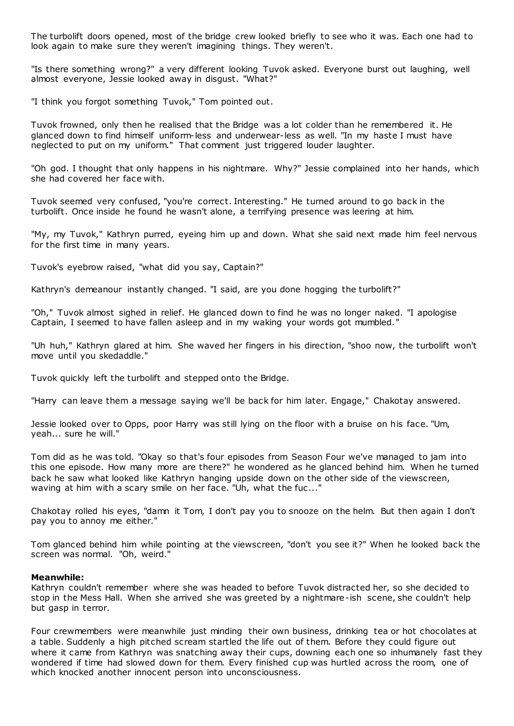The turbolift doors opened, most of the bridge crew looked briefly to see who it was. Each one had to look again to make sure they weren't imagining things. They weren't.

"Is there something wrong?" a very different looking Tuvok asked. Everyone burst out laughing, well almost everyone, Jessie looked away in disgust. "What?"

"I think you forgot something Tuvok," Tom pointed out.

Tuvok frowned, only then he realised that the Bridge was a lot colder than he remembered it. He glanced down to find himself uniform-less and underwear-less as well. "In my haste I must have neglected to put on my uniform." That comment just triggered louder laughter.

"Oh god. I thought that only happens in his nightmare. Why?" Jessie complained into her hands, which she had covered her face with.

Tuvok seemed very confused, "you're correct. Interesting." He turned around to go back in the turbolift. Once inside he found he wasn't alone, a terrifying presence was leering at him.

"My, my Tuvok," Kathryn purred, eyeing him up and down. What she said next made him feel nervous for the first time in many years.

Tuvok's eyebrow raised, "what did you say, Captain?"

Kathryn's demeanour instantly changed. "I said, are you done hogging the turbolift?"

"Oh," Tuvok almost sighed in relief. He glanced down to find he was no longer naked. "I apologise Captain, I seemed to have fallen asleep and in my waking your words got mumbled."

"Uh huh," Kathryn glared at him. She waved her fingers in his direction, "shoo now, the turbolift won't move until you skedaddle."

Tuvok quickly left the turbolift and stepped onto the Bridge.

"Harry can leave them a message saying we'll be back for him later. Engage," Chakotay answered.

Jessie looked over to Opps, poor Harry was still lying on the floor with a bruise on his face. "Um, yeah... sure he will."

Tom did as he was told. "Okay so that's four episodes from Season Four we've managed to jam into this one episode. How many more are there?" he wondered as he glanced behind him. When he turned back he saw what looked like Kathryn hanging upside down on the other side of the viewscreen, waving at him with a scary smile on her face. "Uh, what the fuc..."

Chakotay rolled his eyes, "damn it Tom, I don't pay you to snooze on the helm. But then again I don't pay you to annoy me either."

Tom glanced behind him while pointing at the viewscreen, "don't you see it?" When he looked back the screen was normal. "Oh, weird."

#### **Meanwhile:**

Kathryn couldn't remember where she was headed to before Tuvok distracted her, so she decided to stop in the Mess Hall. When she arrived she was greeted by a nightmare-ish scene, she couldn't help but gasp in terror.

Four crewmembers were meanwhile just minding their own business, drinking tea or hot chocolates at a table. Suddenly a high pitched scream startled the life out of them. Before they could figure out where it came from Kathryn was snatching away their cups, downing each one so inhumanely fast they wondered if time had slowed down for them. Every finished cup was hurtled across the room, one of which knocked another innocent person into unconsciousness.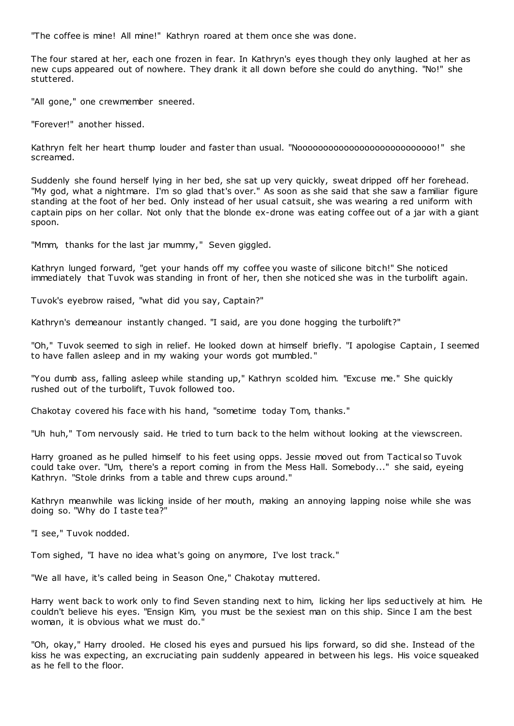"The coffee is mine! All mine!" Kathryn roared at them once she was done.

The four stared at her, each one frozen in fear. In Kathryn's eyes though they only laughed at her as new cups appeared out of nowhere. They drank it all down before she could do anything. "No!" she stuttered.

"All gone," one crewmember sneered.

"Forever!" another hissed.

Kathryn felt her heart thump louder and faster than usual. "Nooooooooooooooooooooooooooo!" she screamed.

Suddenly she found herself lying in her bed, she sat up very quickly, sweat dripped off her forehead. "My god, what a nightmare. I'm so glad that's over." As soon as she said that she saw a familiar figure standing at the foot of her bed. Only instead of her usual catsuit, she was wearing a red uniform with captain pips on her collar. Not only that the blonde ex-drone was eating coffee out of a jar with a giant spoon.

"Mmm, thanks for the last jar mummy," Seven giggled.

Kathryn lunged forward, "get your hands off my coffee you waste of silicone bitch!" She noticed immediately that Tuvok was standing in front of her, then she noticed she was in the turbolift again.

Tuvok's eyebrow raised, "what did you say, Captain?"

Kathryn's demeanour instantly changed. "I said, are you done hogging the turbolift?"

"Oh," Tuvok seemed to sigh in relief. He looked down at himself briefly. "I apologise Captain, I seemed to have fallen asleep and in my waking your words got mumbled."

"You dumb ass, falling asleep while standing up," Kathryn scolded him. "Excuse me." She quickly rushed out of the turbolift, Tuvok followed too.

Chakotay covered his face with his hand, "sometime today Tom, thanks."

"Uh huh," Tom nervously said. He tried to turn back to the helm without looking at the viewscreen.

Harry groaned as he pulled himself to his feet using opps. Jessie moved out from Tactical so Tuvok could take over. "Um, there's a report coming in from the Mess Hall. Somebody..." she said, eyeing Kathryn. "Stole drinks from a table and threw cups around."

Kathryn meanwhile was licking inside of her mouth, making an annoying lapping noise while she was doing so. "Why do I taste tea?"

"I see," Tuvok nodded.

Tom sighed, "I have no idea what's going on anymore, I've lost track."

"We all have, it's called being in Season One," Chakotay muttered.

Harry went back to work only to find Seven standing next to him, licking her lips seductively at him. He couldn't believe his eyes. "Ensign Kim, you must be the sexiest man on this ship. Since I am the best woman, it is obvious what we must do."

"Oh, okay," Harry drooled. He closed his eyes and pursued his lips forward, so did she. Instead of the kiss he was expecting, an excruciating pain suddenly appeared in between his legs. His voice squeaked as he fell to the floor.